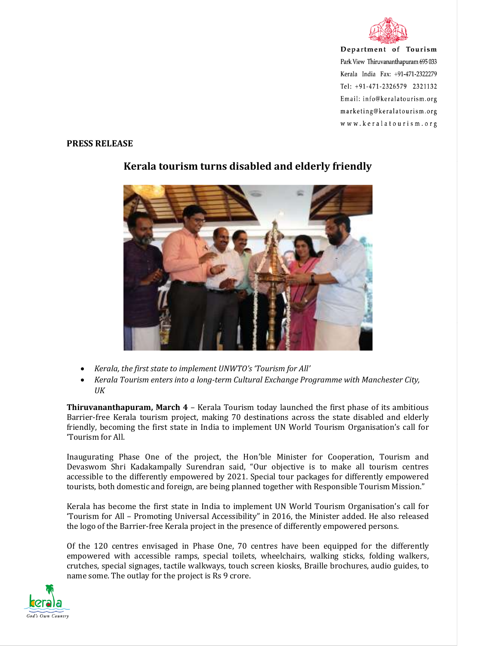

Department of Tourism Park View Thiruvananthapuram 695 033 Kerala India Fax: +91-471-2322279 Tel: +91-471-2326579 2321132 Email: info@keralatourism.org marketing@keralatourism.org www.keralatourism.org

## **PRESS RELEASE**



## **Kerala tourism turns disabled and elderly friendly**

- *Kerala, the first state to implement UNWTO's 'Tourism for All'*
- *Kerala Tourism enters into a long-term Cultural Exchange Programme with Manchester City, UK*

**Thiruvananthapuram, March 4** – Kerala Tourism today launched the first phase of its ambitious Barrier-free Kerala tourism project, making 70 destinations across the state disabled and elderly friendly, becoming the first state in India to implement UN World Tourism Organisation's call for 'Tourism for All.

Inaugurating Phase One of the project, the Hon'ble Minister for Cooperation, Tourism and Devaswom Shri Kadakampally Surendran said, "Our objective is to make all tourism centres accessible to the differently empowered by 2021. Special tour packages for differently empowered tourists, both domestic and foreign, are being planned together with Responsible Tourism Mission."

Kerala has become the first state in India to implement UN World Tourism Organisation's call for 'Tourism for All – Promoting Universal Accessibility" in 2016, the Minister added. He also released the logo of the Barrier-free Kerala project in the presence of differently empowered persons.

Of the 120 centres envisaged in Phase One, 70 centres have been equipped for the differently empowered with accessible ramps, special toilets, wheelchairs, walking sticks, folding walkers, crutches, special signages, tactile walkways, touch screen kiosks, Braille brochures, audio guides, to name some. The outlay for the project is Rs 9 crore.